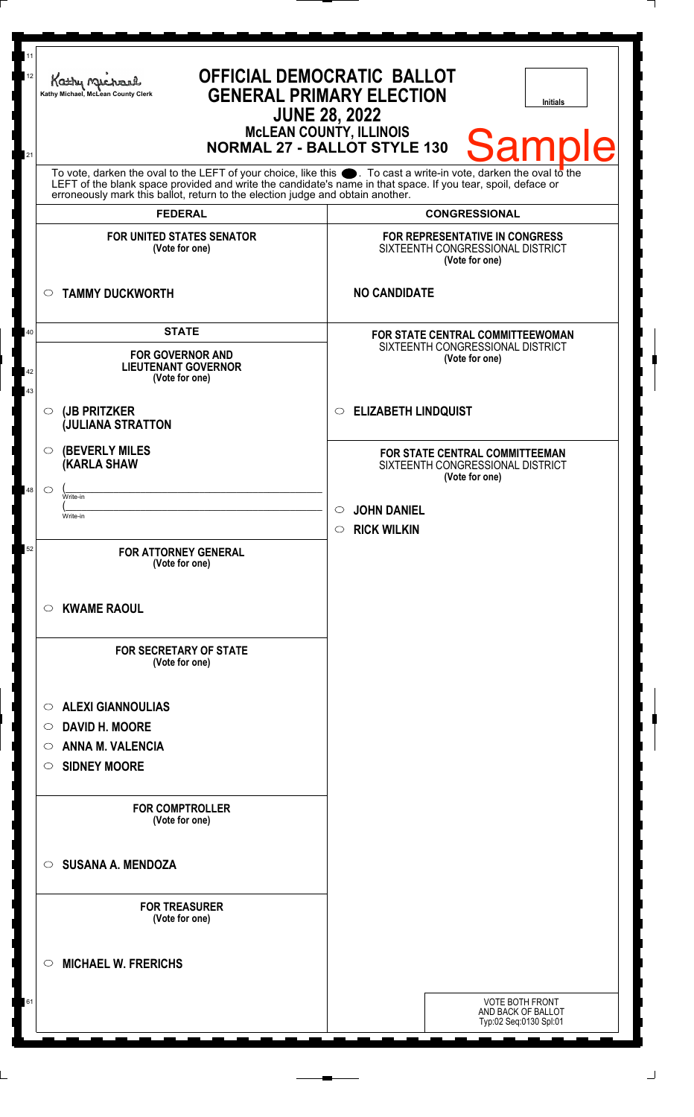| 12       | Kathy My<br>Kathy Michael, McLean County Clerk                                                                                                                                                                                                                                                                         | <b>OFFICIAL DEMOCRATIC BALLOT</b><br><b>GENERAL PRIMARY ELECTION</b><br><b>Initials</b><br><b>JUNE 28, 2022</b> |
|----------|------------------------------------------------------------------------------------------------------------------------------------------------------------------------------------------------------------------------------------------------------------------------------------------------------------------------|-----------------------------------------------------------------------------------------------------------------|
| 21       | <b>MCLEAN COUNTY, ILLINOIS</b><br><b>Sample</b><br><b>NORMAL 27 - BALLOT STYLE 130</b>                                                                                                                                                                                                                                 |                                                                                                                 |
|          | To vote, darken the oval to the LEFT of your choice, like this $\bullet$ . To cast a write-in vote, darken the oval to the LEFT of the blank space provided and write the candidate's name in that space. If you tear, spoil, deface<br>erroneously mark this ballot, return to the election judge and obtain another. |                                                                                                                 |
|          | <b>FEDERAL</b>                                                                                                                                                                                                                                                                                                         | <b>CONGRESSIONAL</b>                                                                                            |
|          | <b>FOR UNITED STATES SENATOR</b><br>(Vote for one)                                                                                                                                                                                                                                                                     | <b>FOR REPRESENTATIVE IN CONGRESS</b><br>SIXTEENTH CONGRESSIONAL DISTRICT<br>(Vote for one)                     |
|          | <b>TAMMY DUCKWORTH</b><br>$\circ$                                                                                                                                                                                                                                                                                      | <b>NO CANDIDATE</b>                                                                                             |
| 40       | <b>STATE</b>                                                                                                                                                                                                                                                                                                           | FOR STATE CENTRAL COMMITTEEWOMAN                                                                                |
| 42<br>43 | <b>FOR GOVERNOR AND</b><br><b>LIEUTENANT GOVERNOR</b><br>(Vote for one)                                                                                                                                                                                                                                                | SIXTEENTH CONGRESSIONAL DISTRICT<br>(Vote for one)                                                              |
|          | (JB PRITZKER<br>$\circ$<br><b>JULIANA STRATTON</b>                                                                                                                                                                                                                                                                     | <b>ELIZABETH LINDQUIST</b><br>$\circ$                                                                           |
|          | <b>(BEVERLY MILES)</b><br>$\circ$<br><b>KARLA SHAW</b>                                                                                                                                                                                                                                                                 | FOR STATE CENTRAL COMMITTEEMAN<br>SIXTEENTH CONGRESSIONAL DISTRICT<br>(Vote for one)                            |
| 48       | $\circ$<br>Write-in                                                                                                                                                                                                                                                                                                    |                                                                                                                 |
|          | Write-in                                                                                                                                                                                                                                                                                                               | <b>JOHN DANIEL</b>                                                                                              |
|          |                                                                                                                                                                                                                                                                                                                        | <b>RICK WILKIN</b><br>$\circ$                                                                                   |
| 52       | <b>FOR ATTORNEY GENERAL</b><br>(Vote for one)                                                                                                                                                                                                                                                                          |                                                                                                                 |
|          | <b>KWAME RAOUL</b><br>$\circ$                                                                                                                                                                                                                                                                                          |                                                                                                                 |
|          | <b>FOR SECRETARY OF STATE</b><br>(Vote for one)                                                                                                                                                                                                                                                                        |                                                                                                                 |
|          | <b>ALEXI GIANNOULIAS</b><br>$\circ$                                                                                                                                                                                                                                                                                    |                                                                                                                 |
|          | <b>DAVID H. MOORE</b><br>$\circlearrowright$                                                                                                                                                                                                                                                                           |                                                                                                                 |
|          | <b>ANNA M. VALENCIA</b><br>O                                                                                                                                                                                                                                                                                           |                                                                                                                 |
|          | <b>SIDNEY MOORE</b><br>$\circ$                                                                                                                                                                                                                                                                                         |                                                                                                                 |
|          | <b>FOR COMPTROLLER</b><br>(Vote for one)                                                                                                                                                                                                                                                                               |                                                                                                                 |
|          | <b>SUSANA A. MENDOZA</b><br>$\circ$                                                                                                                                                                                                                                                                                    |                                                                                                                 |
|          | <b>FOR TREASURER</b><br>(Vote for one)                                                                                                                                                                                                                                                                                 |                                                                                                                 |
|          | <b>MICHAEL W. FRERICHS</b><br>$\circ$                                                                                                                                                                                                                                                                                  |                                                                                                                 |
| 61       |                                                                                                                                                                                                                                                                                                                        | <b>VOTE BOTH FRONT</b><br>AND BACK OF BALLOT<br>Typ:02 Seq:0130 Spl:01                                          |